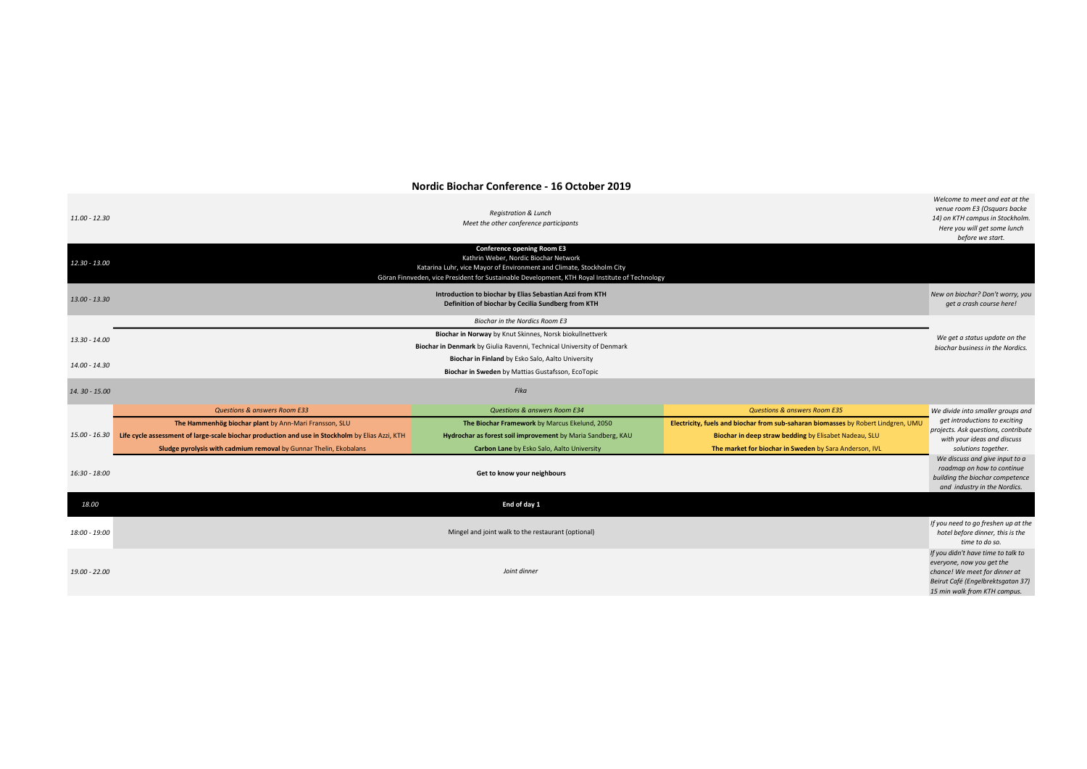Welcome to meet and eat at the venue room E3 (Osquars backe

## Nordic Biochar Conference - 16 October 2019

| 11.00 - 12.30                                     | <b>Registration &amp; Lunch</b><br>Meet the other conference participants                                                                                                                                                                            |                                                             |                                                                                   | venue room E3 (Osquars backe<br>14) on KTH campus in Stockholm.<br>Here you will get some lunch<br>before we start.                                                   |  |  |
|---------------------------------------------------|------------------------------------------------------------------------------------------------------------------------------------------------------------------------------------------------------------------------------------------------------|-------------------------------------------------------------|-----------------------------------------------------------------------------------|-----------------------------------------------------------------------------------------------------------------------------------------------------------------------|--|--|
| 12.30 - 13.00                                     | <b>Conference opening Room E3</b><br>Kathrin Weber, Nordic Biochar Network<br>Katarina Luhr, vice Mayor of Environment and Climate, Stockholm City<br>Göran Finnveden, vice President for Sustainable Development, KTH Royal Institute of Technology |                                                             |                                                                                   |                                                                                                                                                                       |  |  |
| 13.00 - 13.30                                     | Introduction to biochar by Elias Sebastian Azzi from KTH<br>Definition of biochar by Cecilia Sundberg from KTH                                                                                                                                       |                                                             |                                                                                   | New on biochar? Don't worry, you<br>get a crash course here!                                                                                                          |  |  |
| <b>Biochar in the Nordics Room E3</b>             |                                                                                                                                                                                                                                                      |                                                             |                                                                                   |                                                                                                                                                                       |  |  |
| 13.30 - 14.00                                     | Biochar in Norway by Knut Skinnes, Norsk biokullnettverk                                                                                                                                                                                             |                                                             |                                                                                   |                                                                                                                                                                       |  |  |
|                                                   | Biochar in Denmark by Giulia Ravenni, Technical University of Denmark<br>biochar business in the Nordics.                                                                                                                                            |                                                             |                                                                                   |                                                                                                                                                                       |  |  |
| 14.00 - 14.30                                     | Biochar in Finland by Esko Salo, Aalto University                                                                                                                                                                                                    |                                                             |                                                                                   |                                                                                                                                                                       |  |  |
| Biochar in Sweden by Mattias Gustafsson, EcoTopic |                                                                                                                                                                                                                                                      |                                                             |                                                                                   |                                                                                                                                                                       |  |  |
| 14.30 - 15.00                                     | Fika                                                                                                                                                                                                                                                 |                                                             |                                                                                   |                                                                                                                                                                       |  |  |
|                                                   | <b>Questions &amp; answers Room E33</b>                                                                                                                                                                                                              | Questions & answers Room E34                                | <b>Questions &amp; answers Room E35</b>                                           | We divide into smaller groups and                                                                                                                                     |  |  |
|                                                   | The Hammenhög biochar plant by Ann-Mari Fransson, SLU                                                                                                                                                                                                | The Biochar Framework by Marcus Ekelund, 2050               | Electricity, fuels and biochar from sub-saharan biomasses by Robert Lindgren, UMU | get introductions to exciting<br>projects. Ask questions, contribute                                                                                                  |  |  |
| 15.00 - 16.30                                     | Life cycle assessment of large-scale biochar production and use in Stockholm by Elias Azzi, KTH                                                                                                                                                      | Hydrochar as forest soil improvement by Maria Sandberg, KAU | Biochar in deep straw bedding by Elisabet Nadeau, SLU                             | with your ideas and discuss                                                                                                                                           |  |  |
|                                                   | Sludge pyrolysis with cadmium removal by Gunnar Thelin, Ekobalans                                                                                                                                                                                    | Carbon Lane by Esko Salo, Aalto University                  | The market for biochar in Sweden by Sara Anderson, IVL                            | solutions together.                                                                                                                                                   |  |  |
| 16:30 - 18:00                                     | Get to know your neighbours                                                                                                                                                                                                                          |                                                             |                                                                                   | We discuss and give input to a<br>roadmap on how to continue<br>building the biochar competence<br>and industry in the Nordics.                                       |  |  |
| 18.00                                             |                                                                                                                                                                                                                                                      | End of day 1                                                |                                                                                   |                                                                                                                                                                       |  |  |
| 18:00 - 19:00                                     | Mingel and joint walk to the restaurant (optional)                                                                                                                                                                                                   |                                                             |                                                                                   | If you need to go freshen up at the<br>hotel before dinner, this is the<br>time to do so.                                                                             |  |  |
| 19.00 - 22.00                                     | Joint dinner                                                                                                                                                                                                                                         |                                                             |                                                                                   | If you didn't have time to talk to<br>everyone, now you get the<br>chance! We meet for dinner at<br>Beirut Café (Engelbrektsgatan 37)<br>15 min walk from KTH campus. |  |  |